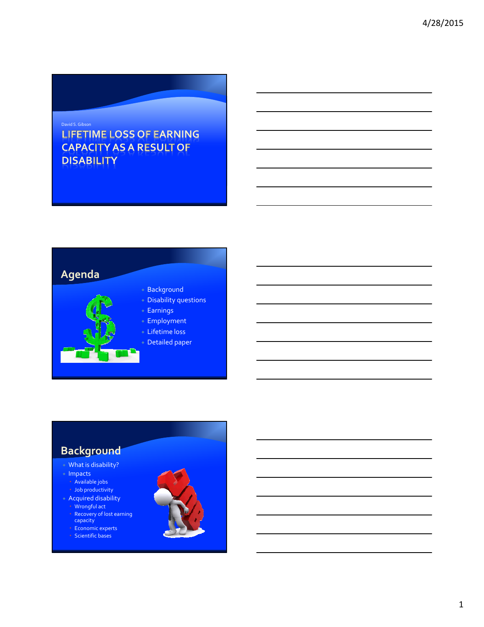#### David S.Gibson **LIFETIME LOSS OF EARNING CAPACITY AS A RESULT OF DISABILITY**



## **Background**

#### What is disability?

- $\bullet$  Impacts
	- Available jobs Job productivity
- Acquired disability Wrongful act Recovery of lost earning capacity

 Economic experts  $\cdot$  Scientific bases

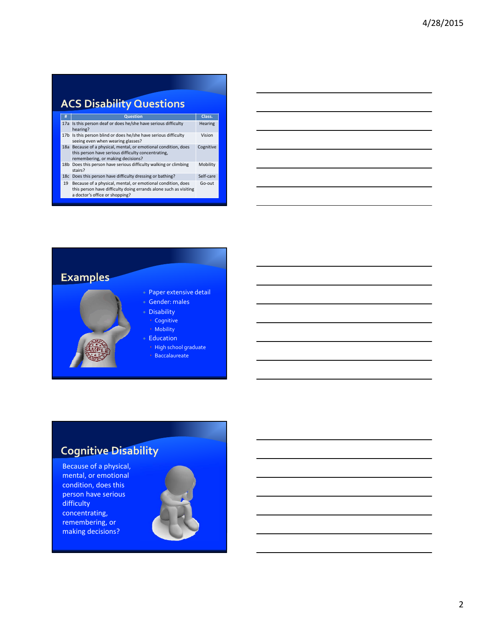# **ACS Disability Questions**

| #  | <b>Question</b>                                                                                                                                                   | Class.    |
|----|-------------------------------------------------------------------------------------------------------------------------------------------------------------------|-----------|
|    | 17a Is this person deaf or does he/she have serious difficulty<br>hearing?                                                                                        | Hearing   |
|    | 17b Is this person blind or does he/she have serious difficulty<br>seeing even when wearing glasses?                                                              | Vision    |
|    | 18a Because of a physical, mental, or emotional condition, does<br>this person have serious difficulty concentrating,<br>remembering, or making decisions?        | Cognitive |
|    | 18b Does this person have serious difficulty walking or climbing<br>stairs?                                                                                       | Mobility  |
|    | 18c Does this person have difficulty dressing or bathing?                                                                                                         | Self-care |
| 19 | Because of a physical, mental, or emotional condition, does<br>this person have difficulty doing errands alone such as visiting<br>a doctor's office or shopping? | Go-out    |



## **Cognitive Disability**

Because of a physical, mental, or emotional condition, does this person have serious difficulty concentrating, remembering, or making decisions?

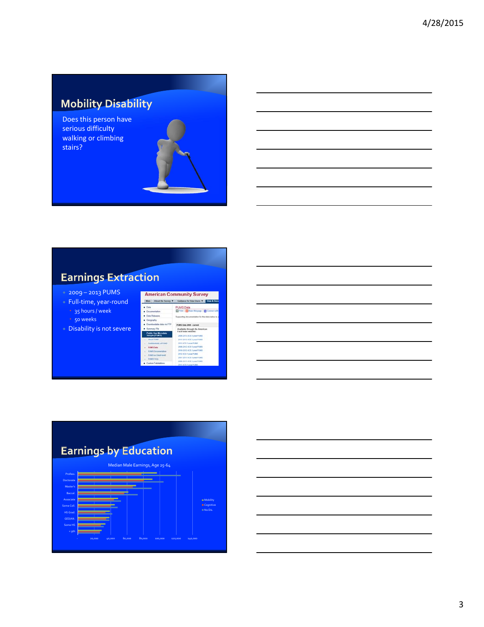## **Mobility Disability**

Does this person have serious difficulty walking or climbing stairs?

## **Earnings Extraction**

- 2009 2013 PUMS
- Full-time, year-round 35 hours / week 50 weeks
- Disability is not severe

| <b>American Community Survey</b>             |                                                                |  |
|----------------------------------------------|----------------------------------------------------------------|--|
|                                              | Main About the Survey, W Goldsmon for Data Users W Data & Data |  |
| $-$ Data                                     | PUMS Data                                                      |  |
| Cocumentation                                | Third   Elliham file page   El Connect with                    |  |
| Cista Halasses                               | Supporting documentation for the data below is a               |  |
| <b>B</b> Geography                           |                                                                |  |
| Coversionatable data via FTP                 | PUMPA Darka 2000 - comment                                     |  |
| <b>Bunnary Flo</b>                           | Available through the American                                 |  |
| <b>Public Use Microdata</b><br>Sample (FUMS) | FactFieder website:<br>2006-2013 ACS 5-year PUMS               |  |
| <b>A PERMIT PERMIT</b>                       | 2011-2013 ACE 3-year FUMS                                      |  |
| Combiembally of PUMS                         | 2012 ACS 1-year PLMIS                                          |  |
| PLNES Clota                                  | 2006-2012 ACB 5 year PLNKS                                     |  |
| <b>PUMS Documentation</b>                    | 2010-2012 ACE 3-year PUMS                                      |  |
| Pictural can Duricul nesset:                 | 2612 ACB 1-year PLMS                                           |  |
| - PUMS FACE                                  | 2057-2011 ACS 5-year PUMS                                      |  |
| Castom Tabulations                           | 2009-2011 ACS 3-year PUMS                                      |  |
|                                              | 2011 ACS 5-year PLMS                                           |  |

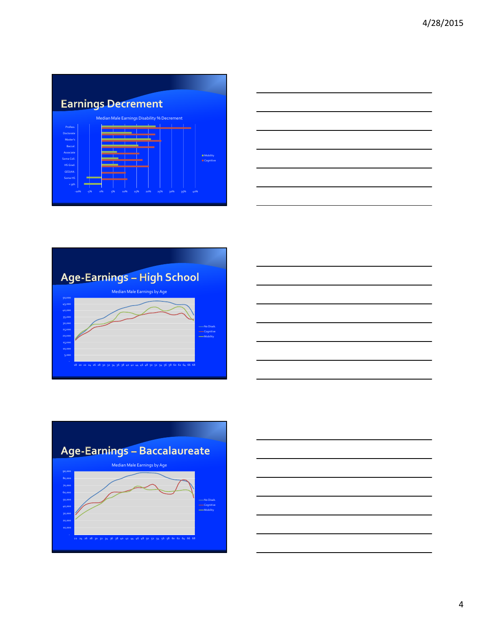









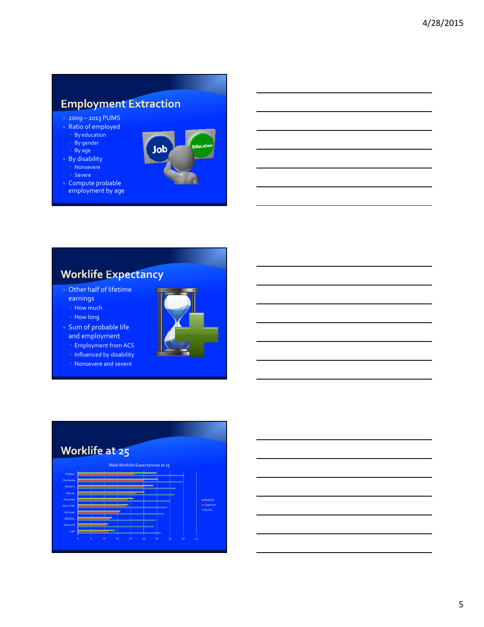#### **Employment Extraction**

- 2009 2013 PUMS
- Ratio of employed By education
	- By gender
	- By age
- By disability → Nonsevere
	- Severe
- Compute probable employment by age



#### **Worklife Expectancy**

- Other half of lifetime earnings How much
	- How long
- Sum of probable life and employment



- Influenced by disability
- Nonsevere and severe





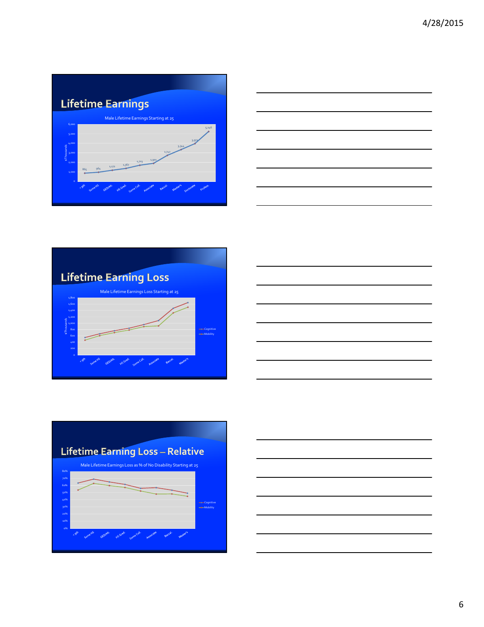